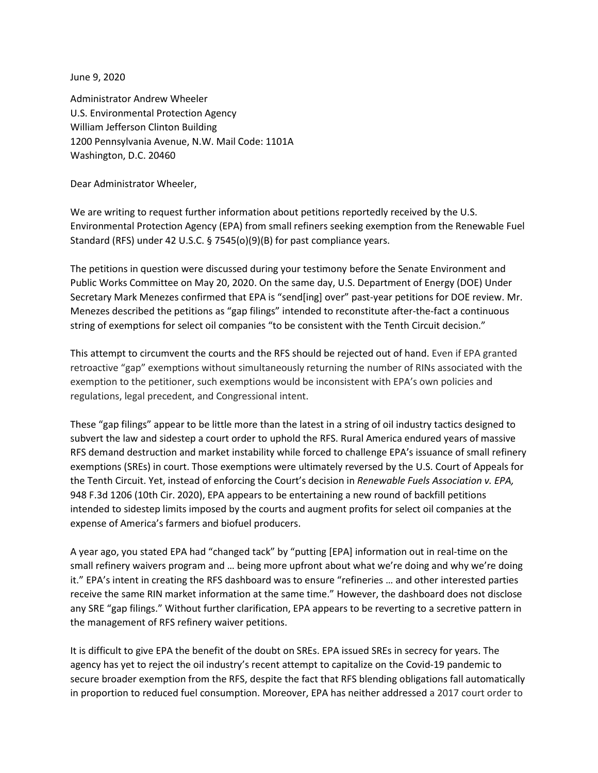June 9, 2020

Administrator Andrew Wheeler U.S. Environmental Protection Agency William Jefferson Clinton Building 1200 Pennsylvania Avenue, N.W. Mail Code: 1101A Washington, D.C. 20460

Dear Administrator Wheeler,

We are writing to request further information about petitions reportedly received by the U.S. Environmental Protection Agency (EPA) from small refiners seeking exemption from the Renewable Fuel Standard (RFS) under 42 U.S.C. § 7545(o)(9)(B) for past compliance years.

The petitions in question were discussed during your testimony before the Senate Environment and Public Works Committee on May 20, 2020. On the same day, U.S. Department of Energy (DOE) Under Secretary Mark Menezes confirmed that EPA is "send[ing] over" past-year petitions for DOE review. Mr. Menezes described the petitions as "gap filings" intended to reconstitute after-the-fact a continuous string of exemptions for select oil companies "to be consistent with the Tenth Circuit decision."

This attempt to circumvent the courts and the RFS should be rejected out of hand. Even if EPA granted retroactive "gap" exemptions without simultaneously returning the number of RINs associated with the exemption to the petitioner, such exemptions would be inconsistent with EPA's own policies and regulations, legal precedent, and Congressional intent.

These "gap filings" appear to be little more than the latest in a string of oil industry tactics designed to subvert the law and sidestep a court order to uphold the RFS. Rural America endured years of massive RFS demand destruction and market instability while forced to challenge EPA's issuance of small refinery exemptions (SREs) in court. Those exemptions were ultimately reversed by the U.S. Court of Appeals for the Tenth Circuit. Yet, instead of enforcing the Court's decision in *Renewable Fuels Association v. EPA,*  948 F.3d 1206 (10th Cir. 2020), EPA appears to be entertaining a new round of backfill petitions intended to sidestep limits imposed by the courts and augment profits for select oil companies at the expense of America's farmers and biofuel producers.

A year ago, you stated EPA had "changed tack" by "putting [EPA] information out in real-time on the small refinery waivers program and … being more upfront about what we're doing and why we're doing it." EPA's intent in creating the RFS dashboard was to ensure "refineries … and other interested parties receive the same RIN market information at the same time." However, the dashboard does not disclose any SRE "gap filings." Without further clarification, EPA appears to be reverting to a secretive pattern in the management of RFS refinery waiver petitions.

It is difficult to give EPA the benefit of the doubt on SREs. EPA issued SREs in secrecy for years. The agency has yet to reject the oil industry's recent attempt to capitalize on the Covid-19 pandemic to secure broader exemption from the RFS, despite the fact that RFS blending obligations fall automatically in proportion to reduced fuel consumption. Moreover, EPA has neither addressed a 2017 court order to